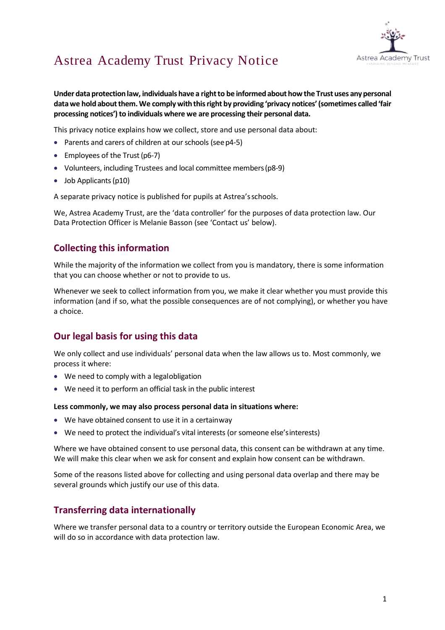

**Under data protection law, individuals have a right to be informed about how the Trust uses any personal datawe hold aboutthem.We complywiththisright by providing 'privacy notices'(sometimes called'fair processing notices')to individuals where we are processing their personal data.**

This privacy notice explains how we collect, store and use personal data about:

- Parents and carers of children at our schools (see p4-5)
- Employees of the Trust (p6-7)
- Volunteers, including Trustees and local committee members(p8-9)
- Job Applicants (p10)

A separate privacy notice is published for pupils at Astrea'sschools.

We, Astrea Academy Trust, are the 'data controller' for the purposes of data protection law. Our Data Protection Officer is Melanie Basson (see 'Contact us' below).

## **Collecting this information**

While the majority of the information we collect from you is mandatory, there is some information that you can choose whether or not to provide to us.

Whenever we seek to collect information from you, we make it clear whether you must provide this information (and if so, what the possible consequences are of not complying), or whether you have a choice.

# **Our legal basis for using this data**

We only collect and use individuals' personal data when the law allows us to. Most commonly, we process it where:

- We need to comply with a legalobligation
- We need it to perform an official task in the public interest

#### **Less commonly, we may also process personal data in situations where:**

- We have obtained consent to use it in a certainway
- We need to protect the individual's vital interests (or someone else'sinterests)

Where we have obtained consent to use personal data, this consent can be withdrawn at any time. We will make this clear when we ask for consent and explain how consent can be withdrawn.

Some of the reasons listed above for collecting and using personal data overlap and there may be several grounds which justify our use of this data.

## **Transferring data internationally**

Where we transfer personal data to a country or territory outside the European Economic Area, we will do so in accordance with data protection law.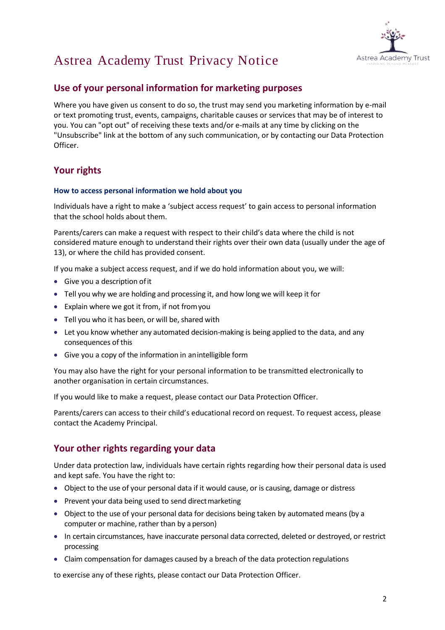

## **Use of your personal information for marketing purposes**

Where you have given us consent to do so, the trust may send you marketing information by e-mail or text promoting trust, events, campaigns, charitable causes or services that may be of interest to you. You can "opt out" of receiving these texts and/or e-mails at any time by clicking on the "Unsubscribe" link at the bottom of any such communication, or by contacting our Data Protection Officer.

# **Your rights**

### **How to access personal information we hold about you**

Individuals have a right to make a 'subject access request' to gain access to personal information that the school holds about them.

Parents/carers can make a request with respect to their child's data where the child is not considered mature enough to understand their rights over their own data (usually under the age of 13), or where the child has provided consent.

If you make a subject access request, and if we do hold information about you, we will:

- Give you a description ofit
- Tell you why we are holding and processing it, and how long we will keep it for
- Explain where we got it from, if not fromyou
- Tell you who it has been, or will be, shared with
- Let you know whether any automated decision-making is being applied to the data, and any consequences of this
- Give you a copy of the information in anintelligible form

You may also have the right for your personal information to be transmitted electronically to another organisation in certain circumstances.

If you would like to make a request, please contact our Data Protection Officer.

Parents/carers can access to their child's educational record on request. To request access, please contact the Academy Principal.

# **Your other rights regarding your data**

Under data protection law, individuals have certain rights regarding how their personal data is used and kept safe. You have the right to:

- Object to the use of your personal data if it would cause, or is causing, damage or distress
- Prevent your data being used to send direct marketing
- Object to the use of your personal data for decisions being taken by automated means (by a computer or machine, rather than by aperson)
- In certain circumstances, have inaccurate personal data corrected, deleted or destroyed, or restrict processing
- Claim compensation for damages caused by a breach of the data protection regulations

to exercise any of these rights, please contact our Data Protection Officer.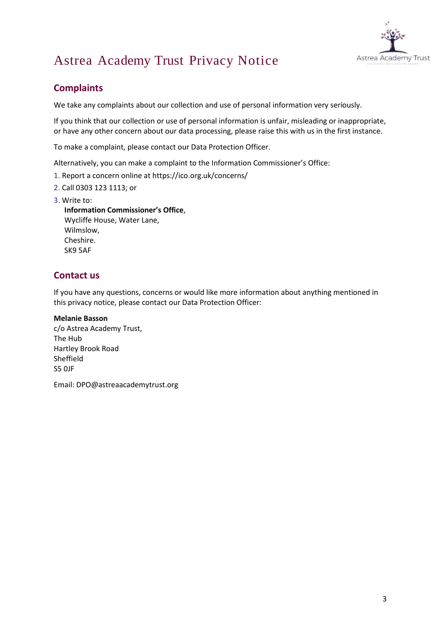

# **Complaints**

We take any complaints about our collection and use of personal information very seriously.

If you think that our collection or use of personal information is unfair, misleading or inappropriate, or have any other concern about our data processing, please raise this with us in the first instance.

To make a complaint, please contact our Data Protection Officer.

Alternatively, you can make a complaint to the Information Commissioner's Office:

- 1. Report a concern online at https://ico.org.uk/concerns/
- 2. Call 0303 123 1113; or
- 3. Write to:

**Information Commissioner's Office**, Wycliffe House, Water Lane, Wilmslow, Cheshire. SK9 5AF

# **Contact us**

If you have any questions, concerns or would like more information about anything mentioned in this privacy notice, please contact our Data Protection Officer:

#### **Melanie Basson**

c/o Astrea Academy Trust, The Hub Hartley Brook Road Sheffield S5 0JF

Email: [DPO@astreaacademytrust.org](mailto:DPO@Astreaacademytrust.org)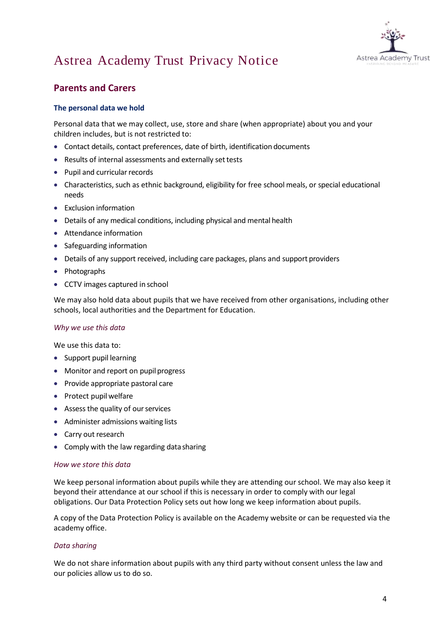

# **Parents and Carers**

## **The personal data we hold**

Personal data that we may collect, use, store and share (when appropriate) about you and your children includes, but is not restricted to:

- Contact details, contact preferences, date of birth, identification documents
- Results of internal assessments and externally settests
- $\bullet$  Pupil and curricular records
- Characteristics, such as ethnic background, eligibility for free school meals, or special educational needs
- Exclusion information
- Details of any medical conditions, including physical and mental health
- Attendance information
- Safeguarding information
- Details of any support received, including care packages, plans and support providers
- Photographs
- CCTV images captured in school

We may also hold data about pupils that we have received from other organisations, including other schools, local authorities and the Department for Education.

### *Why we use this data*

We use this data to:

- Support pupil learning
- Monitor and report on pupil progress
- Provide appropriate pastoral care
- Protect pupil welfare
- Assess the quality of our services
- Administer admissions waiting lists
- Carry out research
- Comply with the law regarding data sharing

#### *How we store this data*

We keep personal information about pupils while they are attending our school. We may also keep it beyond their attendance at our school if this is necessary in order to comply with our legal obligations. Our Data Protection Policy sets out how long we keep information about pupils.

A copy of the Data Protection Policy is available on the Academy website or can be requested via the academy office.

### *Data sharing*

We do not share information about pupils with any third party without consent unless the law and our policies allow us to do so.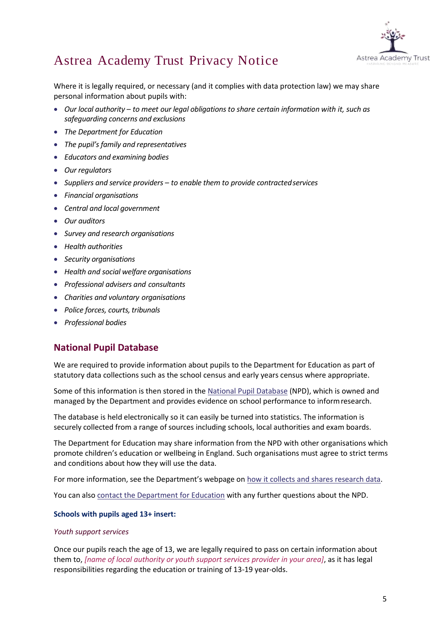

Where it is legally required, or necessary (and it complies with data protection law) we may share personal information about pupils with:

- *Our local authority – to meet our legal obligations to share certain information with it, such as safeguarding concerns and exclusions*
- *The Department for Education*
- *The pupil's family and representatives*
- *Educators and examining bodies*
- *Our regulators*
- *Suppliers and service providers – to enable them to provide contractedservices*
- *Financial organisations*
- *Central and local government*
- *Our auditors*
- *Survey and research organisations*
- *Health authorities*
- *Security organisations*
- *Health and social welfare organisations*
- *Professional advisers and consultants*
- *Charities and voluntary organisations*
- *Police forces, courts, tribunals*
- *Professional bodies*

# **National Pupil Database**

We are required to provide information about pupils to the Department for Education as part of statutory data collections such as the school census and early years census where appropriate.

Some of this information is then stored in the [National Pupil Database](https://www.gov.uk/government/publications/national-pupil-database-user-guide-and-supporting-information) (NPD), which is owned and managed by the Department and provides evidence on school performance to informresearch.

The database is held electronically so it can easily be turned into statistics. The information is securely collected from a range of sources including schools, local authorities and exam boards.

The Department for Education may share information from the NPD with other organisations which promote children's education or wellbeing in England. Such organisations must agree to strict terms and conditions about how they will use the data.

For more information, see the Department's webpage on [how it collects and shares research data.](https://www.gov.uk/data-protection-how-we-collect-and-share-research-data)

You can also [contact the Department for Education](https://www.gov.uk/contact-dfe) with any further questions about the NPD.

### **Schools with pupils aged 13+ insert:**

### *Youth support services*

Once our pupils reach the age of 13, we are legally required to pass on certain information about them to, *[name of local authority or youth support services provider in your area]*, as it has legal responsibilities regarding the education or training of 13-19 year-olds.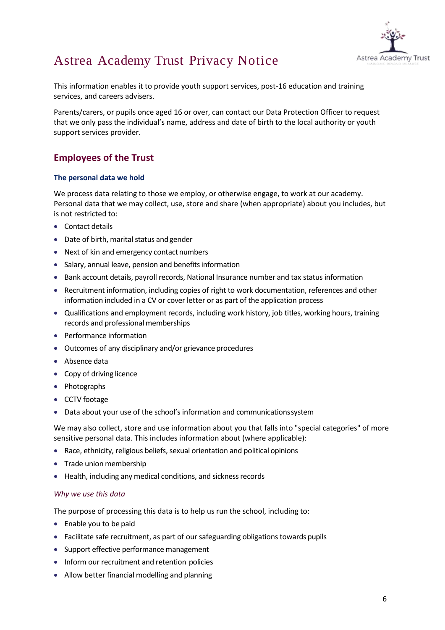

This information enables it to provide youth support services, post-16 education and training services, and careers advisers.

Parents/carers, or pupils once aged 16 or over, can contact our Data Protection Officer to request that we only pass the individual's name, address and date of birth to the local authority or youth support services provider.

# **Employees of the Trust**

## **The personal data we hold**

We process data relating to those we employ, or otherwise engage, to work at our academy. Personal data that we may collect, use, store and share (when appropriate) about you includes, but is not restricted to:

- Contact details
- Date of birth, marital status andgender
- Next of kin and emergency contact numbers
- Salary, annual leave, pension and benefits information
- Bank account details, payroll records, National Insurance number and tax status information
- Recruitment information, including copies of right to work documentation, references and other information included in a CV or cover letter or as part of the application process
- Qualifications and employment records, including work history, job titles, working hours, training records and professional memberships
- Performance information
- Outcomes of any disciplinary and/or grievance procedures
- Absence data
- Copy of driving licence
- Photographs
- CCTV footage
- Data about your use of the school's information and communicationssystem

We may also collect, store and use information about you that falls into "special categories" of more sensitive personal data. This includes information about (where applicable):

- Race, ethnicity, religious beliefs, sexual orientation and political opinions
- Trade union membership
- Health, including any medical conditions, and sickness records

### *Why we use this data*

The purpose of processing this data is to help us run the school, including to:

- Enable you to be paid
- Facilitate safe recruitment, as part of our safeguarding obligations towards pupils
- Support effective performance management
- Inform our recruitment and retention policies
- Allow better financial modelling and planning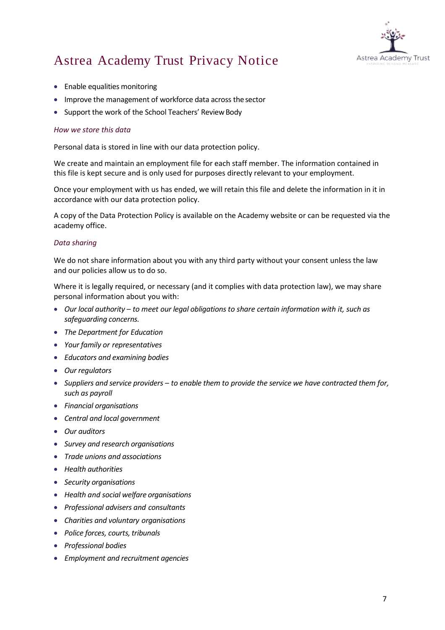

- Enable equalities monitoring
- Improve the management of workforce data across the sector
- Support the work of the School Teachers' Review Body

### *How we store this data*

Personal data is stored in line with our data protection policy.

We create and maintain an employment file for each staff member. The information contained in this file is kept secure and is only used for purposes directly relevant to your employment.

Once your employment with us has ended, we will retain this file and delete the information in it in accordance with our data protection policy.

A copy of the Data Protection Policy is available on the Academy website or can be requested via the academy office.

#### *Data sharing*

We do not share information about you with any third party without your consent unless the law and our policies allow us to do so.

Where it is legally required, or necessary (and it complies with data protection law), we may share personal information about you with:

- *Our local authority – to meet our legal obligations to share certain information with it, such as safeguarding concerns.*
- *The Department for Education*
- *Your family or representatives*
- *Educators and examining bodies*
- *Our regulators*
- *Suppliers and service providers – to enable them to provide the service we have contracted them for, such as payroll*
- *Financial organisations*
- *Central and local government*
- *Our auditors*
- *Survey and research organisations*
- *Trade unions and associations*
- *Health authorities*
- *Security organisations*
- *Health and social welfare organisations*
- *Professional advisers and consultants*
- *Charities and voluntary organisations*
- *Police forces, courts, tribunals*
- *Professional bodies*
- *Employment and recruitment agencies*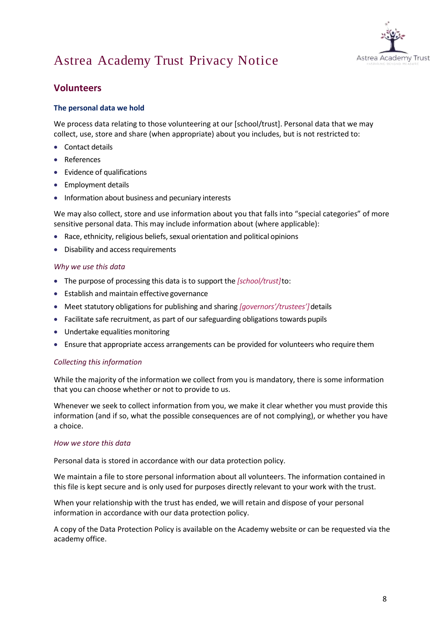

# **Volunteers**

## **The personal data we hold**

We process data relating to those volunteering at our [school/trust]. Personal data that we may collect, use, store and share (when appropriate) about you includes, but is not restricted to:

- Contact details
- References
- Evidence of qualifications
- Employment details
- Information about business and pecuniary interests

We may also collect, store and use information about you that falls into "special categories" of more sensitive personal data. This may include information about (where applicable):

- Race, ethnicity, religious beliefs, sexual orientation and political opinions
- Disability and access requirements

#### *Why we use this data*

- The purpose of processing this data is to support the *[school/trust]*to:
- **•** Establish and maintain effective governance
- Meet statutory obligations for publishing and sharing *[governors'/trustees']*details
- Facilitate safe recruitment, as part of our safeguarding obligations towards pupils
- Undertake equalities monitoring
- Ensure that appropriate access arrangements can be provided for volunteers who require them

### *Collecting this information*

While the majority of the information we collect from you is mandatory, there is some information that you can choose whether or not to provide to us.

Whenever we seek to collect information from you, we make it clear whether you must provide this information (and if so, what the possible consequences are of not complying), or whether you have a choice.

#### *How we store this data*

Personal data is stored in accordance with our data protection policy.

We maintain a file to store personal information about all volunteers. The information contained in this file is kept secure and is only used for purposes directly relevant to your work with the trust.

When your relationship with the trust has ended, we will retain and dispose of your personal information in accordance with our data protection policy.

A copy of the Data Protection Policy is available on the Academy website or can be requested via the academy office.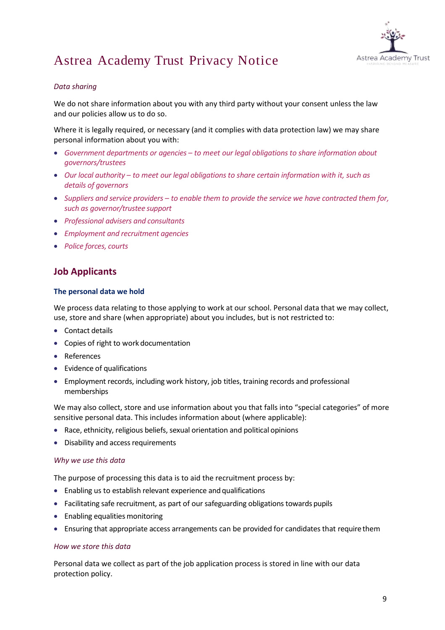

## *Data sharing*

We do not share information about you with any third party without your consent unless the law and our policies allow us to do so.

Where it is legally required, or necessary (and it complies with data protection law) we may share personal information about you with:

- *Government departments or agencies – to meet our legal obligations to share information about governors/trustees*
- *Our local authority – to meet our legal obligations to share certain information with it, such as details of governors*
- *Suppliers and service providers – to enable them to provide the service we have contracted them for, such as governor/trustee support*
- *Professional advisers and consultants*
- *Employment and recruitment agencies*
- *Police forces, courts*

# **Job Applicants**

## **The personal data we hold**

We process data relating to those applying to work at our school. Personal data that we may collect, use, store and share (when appropriate) about you includes, but is not restricted to:

- Contact details
- Copies of right to work documentation
- References
- Evidence of qualifications
- Employment records, including work history, job titles, training records and professional memberships

We may also collect, store and use information about you that falls into "special categories" of more sensitive personal data. This includes information about (where applicable):

- Race, ethnicity, religious beliefs, sexual orientation and political opinions
- Disability and access requirements

### *Why we use this data*

The purpose of processing this data is to aid the recruitment process by:

- Enabling us to establish relevant experience and qualifications
- Facilitating safe recruitment, as part of our safeguarding obligations towards pupils
- Enabling equalities monitoring
- Ensuring that appropriate access arrangements can be provided for candidates that requirethem

### *How we store this data*

Personal data we collect as part of the job application process is stored in line with our data protection policy.